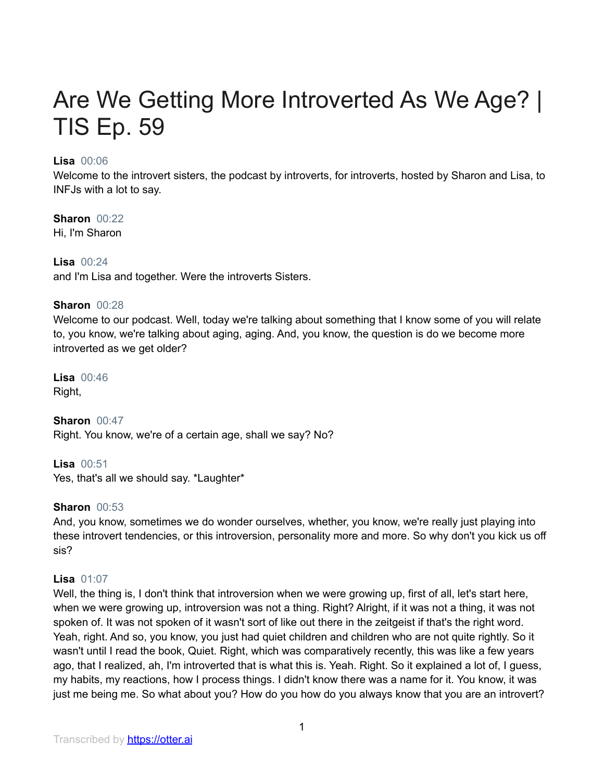# Are We Getting More Introverted As We Age? | TIS Ep. 59

# **Lisa** 00:06

Welcome to the introvert sisters, the podcast by introverts, for introverts, hosted by Sharon and Lisa, to INFJs with a lot to say.

# **Sharon** 00:22

Hi, I'm Sharon

# **Lisa** 00:24 and I'm Lisa and together. Were the introverts Sisters.

# **Sharon** 00:28

Welcome to our podcast. Well, today we're talking about something that I know some of you will relate to, you know, we're talking about aging, aging. And, you know, the question is do we become more introverted as we get older?

**Lisa** 00:46 Right,

**Sharon** 00:47 Right. You know, we're of a certain age, shall we say? No?

**Lisa** 00:51 Yes, that's all we should say. \*Laughter\*

# **Sharon** 00:53

And, you know, sometimes we do wonder ourselves, whether, you know, we're really just playing into these introvert tendencies, or this introversion, personality more and more. So why don't you kick us off sis?

# **Lisa** 01:07

Well, the thing is, I don't think that introversion when we were growing up, first of all, let's start here, when we were growing up, introversion was not a thing. Right? Alright, if it was not a thing, it was not spoken of. It was not spoken of it wasn't sort of like out there in the zeitgeist if that's the right word. Yeah, right. And so, you know, you just had quiet children and children who are not quite rightly. So it wasn't until I read the book, Quiet. Right, which was comparatively recently, this was like a few years ago, that I realized, ah, I'm introverted that is what this is. Yeah. Right. So it explained a lot of, I guess, my habits, my reactions, how I process things. I didn't know there was a name for it. You know, it was just me being me. So what about you? How do you how do you always know that you are an introvert?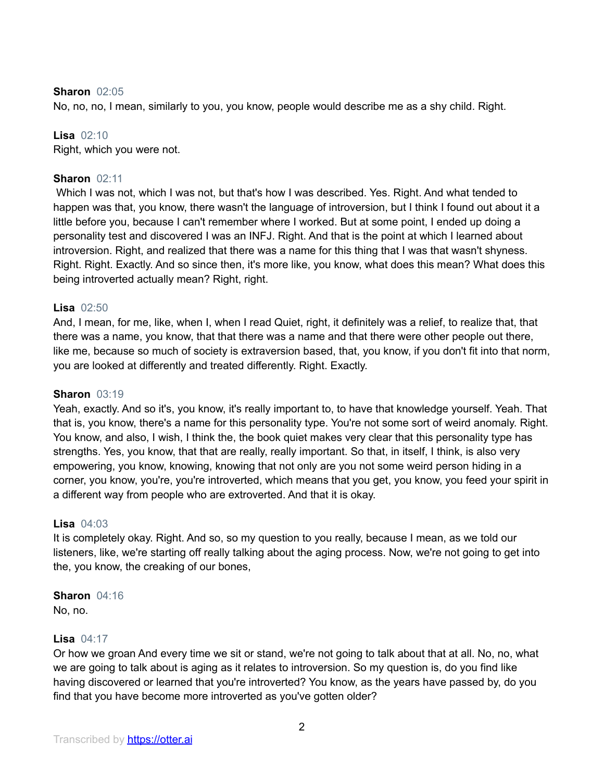#### **Sharon** 02:05

No, no, no, I mean, similarly to you, you know, people would describe me as a shy child. Right.

#### **Lisa** 02:10

Right, which you were not.

## **Sharon** 02:11

Which I was not, which I was not, but that's how I was described. Yes. Right. And what tended to happen was that, you know, there wasn't the language of introversion, but I think I found out about it a little before you, because I can't remember where I worked. But at some point, I ended up doing a personality test and discovered I was an INFJ. Right. And that is the point at which I learned about introversion. Right, and realized that there was a name for this thing that I was that wasn't shyness. Right. Right. Exactly. And so since then, it's more like, you know, what does this mean? What does this being introverted actually mean? Right, right.

#### **Lisa** 02:50

And, I mean, for me, like, when I, when I read Quiet, right, it definitely was a relief, to realize that, that there was a name, you know, that that there was a name and that there were other people out there, like me, because so much of society is extraversion based, that, you know, if you don't fit into that norm, you are looked at differently and treated differently. Right. Exactly.

#### **Sharon** 03:19

Yeah, exactly. And so it's, you know, it's really important to, to have that knowledge yourself. Yeah. That that is, you know, there's a name for this personality type. You're not some sort of weird anomaly. Right. You know, and also, I wish, I think the, the book quiet makes very clear that this personality type has strengths. Yes, you know, that that are really, really important. So that, in itself, I think, is also very empowering, you know, knowing, knowing that not only are you not some weird person hiding in a corner, you know, you're, you're introverted, which means that you get, you know, you feed your spirit in a different way from people who are extroverted. And that it is okay.

#### **Lisa** 04:03

It is completely okay. Right. And so, so my question to you really, because I mean, as we told our listeners, like, we're starting off really talking about the aging process. Now, we're not going to get into the, you know, the creaking of our bones,

#### **Sharon** 04:16

No, no.

#### **Lisa** 04:17

Or how we groan And every time we sit or stand, we're not going to talk about that at all. No, no, what we are going to talk about is aging as it relates to introversion. So my question is, do you find like having discovered or learned that you're introverted? You know, as the years have passed by, do you find that you have become more introverted as you've gotten older?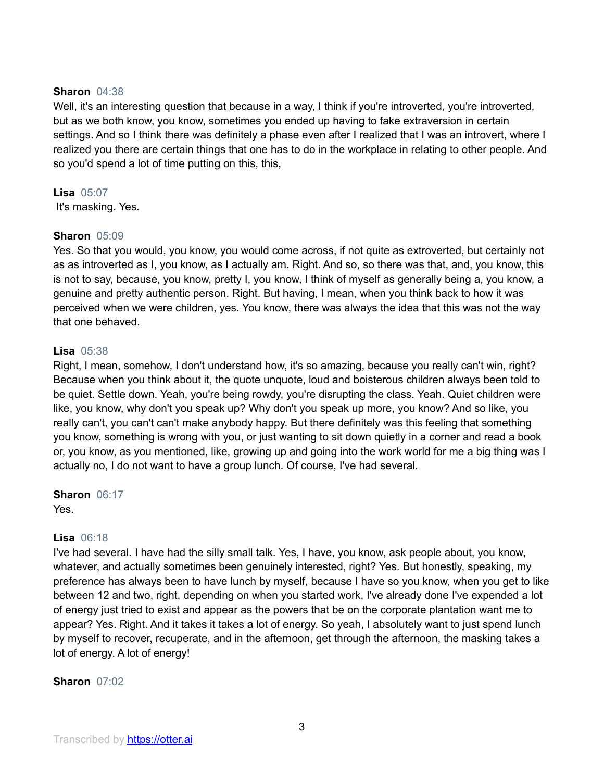#### **Sharon** 04:38

Well, it's an interesting question that because in a way, I think if you're introverted, you're introverted, but as we both know, you know, sometimes you ended up having to fake extraversion in certain settings. And so I think there was definitely a phase even after I realized that I was an introvert, where I realized you there are certain things that one has to do in the workplace in relating to other people. And so you'd spend a lot of time putting on this, this,

# **Lisa** 05:07

It's masking. Yes.

## **Sharon** 05:09

Yes. So that you would, you know, you would come across, if not quite as extroverted, but certainly not as as introverted as I, you know, as I actually am. Right. And so, so there was that, and, you know, this is not to say, because, you know, pretty I, you know, I think of myself as generally being a, you know, a genuine and pretty authentic person. Right. But having, I mean, when you think back to how it was perceived when we were children, yes. You know, there was always the idea that this was not the way that one behaved.

## **Lisa** 05:38

Right, I mean, somehow, I don't understand how, it's so amazing, because you really can't win, right? Because when you think about it, the quote unquote, loud and boisterous children always been told to be quiet. Settle down. Yeah, you're being rowdy, you're disrupting the class. Yeah. Quiet children were like, you know, why don't you speak up? Why don't you speak up more, you know? And so like, you really can't, you can't can't make anybody happy. But there definitely was this feeling that something you know, something is wrong with you, or just wanting to sit down quietly in a corner and read a book or, you know, as you mentioned, like, growing up and going into the work world for me a big thing was I actually no, I do not want to have a group lunch. Of course, I've had several.

**Sharon** 06:17 Yes.

## **Lisa** 06:18

I've had several. I have had the silly small talk. Yes, I have, you know, ask people about, you know, whatever, and actually sometimes been genuinely interested, right? Yes. But honestly, speaking, my preference has always been to have lunch by myself, because I have so you know, when you get to like between 12 and two, right, depending on when you started work, I've already done I've expended a lot of energy just tried to exist and appear as the powers that be on the corporate plantation want me to appear? Yes. Right. And it takes it takes a lot of energy. So yeah, I absolutely want to just spend lunch by myself to recover, recuperate, and in the afternoon, get through the afternoon, the masking takes a lot of energy. A lot of energy!

## **Sharon** 07:02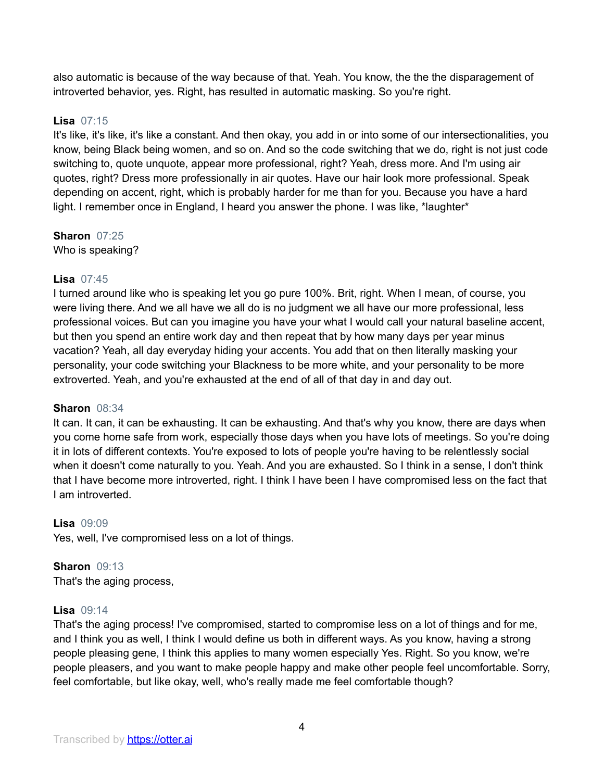also automatic is because of the way because of that. Yeah. You know, the the the disparagement of introverted behavior, yes. Right, has resulted in automatic masking. So you're right.

# **Lisa** 07:15

It's like, it's like, it's like a constant. And then okay, you add in or into some of our intersectionalities, you know, being Black being women, and so on. And so the code switching that we do, right is not just code switching to, quote unquote, appear more professional, right? Yeah, dress more. And I'm using air quotes, right? Dress more professionally in air quotes. Have our hair look more professional. Speak depending on accent, right, which is probably harder for me than for you. Because you have a hard light. I remember once in England, I heard you answer the phone. I was like, \*laughter\*

# **Sharon** 07:25

Who is speaking?

# **Lisa** 07:45

I turned around like who is speaking let you go pure 100%. Brit, right. When I mean, of course, you were living there. And we all have we all do is no judgment we all have our more professional, less professional voices. But can you imagine you have your what I would call your natural baseline accent, but then you spend an entire work day and then repeat that by how many days per year minus vacation? Yeah, all day everyday hiding your accents. You add that on then literally masking your personality, your code switching your Blackness to be more white, and your personality to be more extroverted. Yeah, and you're exhausted at the end of all of that day in and day out.

## **Sharon** 08:34

It can. It can, it can be exhausting. It can be exhausting. And that's why you know, there are days when you come home safe from work, especially those days when you have lots of meetings. So you're doing it in lots of different contexts. You're exposed to lots of people you're having to be relentlessly social when it doesn't come naturally to you. Yeah. And you are exhausted. So I think in a sense, I don't think that I have become more introverted, right. I think I have been I have compromised less on the fact that I am introverted.

# **Lisa** 09:09

Yes, well, I've compromised less on a lot of things.

#### **Sharon** 09:13 That's the aging process,

# **Lisa** 09:14

That's the aging process! I've compromised, started to compromise less on a lot of things and for me, and I think you as well, I think I would define us both in different ways. As you know, having a strong people pleasing gene, I think this applies to many women especially Yes. Right. So you know, we're people pleasers, and you want to make people happy and make other people feel uncomfortable. Sorry, feel comfortable, but like okay, well, who's really made me feel comfortable though?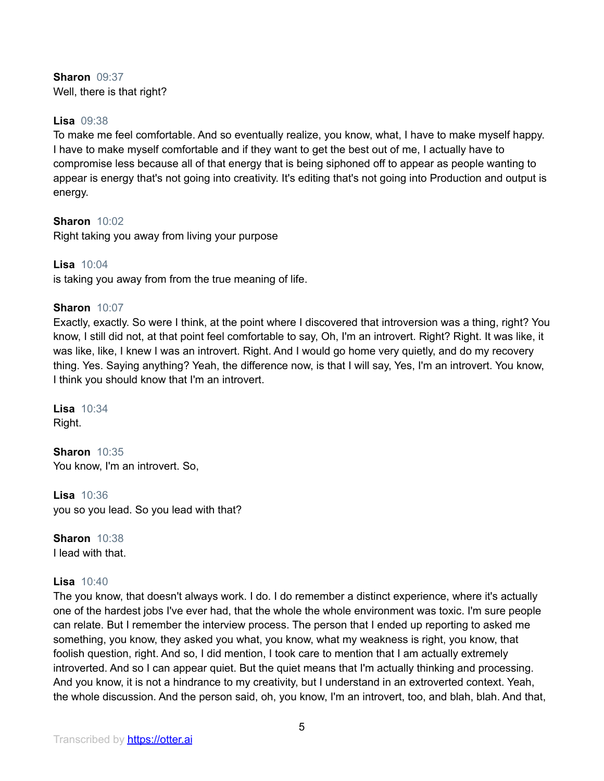# **Sharon** 09:37 Well, there is that right?

# **Lisa** 09:38

To make me feel comfortable. And so eventually realize, you know, what, I have to make myself happy. I have to make myself comfortable and if they want to get the best out of me, I actually have to compromise less because all of that energy that is being siphoned off to appear as people wanting to appear is energy that's not going into creativity. It's editing that's not going into Production and output is energy.

# **Sharon** 10:02

Right taking you away from living your purpose

# **Lisa** 10:04

is taking you away from from the true meaning of life.

# **Sharon** 10:07

Exactly, exactly. So were I think, at the point where I discovered that introversion was a thing, right? You know, I still did not, at that point feel comfortable to say, Oh, I'm an introvert. Right? Right. It was like, it was like, like, I knew I was an introvert. Right. And I would go home very quietly, and do my recovery thing. Yes. Saying anything? Yeah, the difference now, is that I will say, Yes, I'm an introvert. You know, I think you should know that I'm an introvert.

**Lisa** 10:34 Right.

**Sharon** 10:35 You know, I'm an introvert. So,

**Lisa** 10:36 you so you lead. So you lead with that?

**Sharon** 10:38 I lead with that.

# **Lisa** 10:40

The you know, that doesn't always work. I do. I do remember a distinct experience, where it's actually one of the hardest jobs I've ever had, that the whole the whole environment was toxic. I'm sure people can relate. But I remember the interview process. The person that I ended up reporting to asked me something, you know, they asked you what, you know, what my weakness is right, you know, that foolish question, right. And so, I did mention, I took care to mention that I am actually extremely introverted. And so I can appear quiet. But the quiet means that I'm actually thinking and processing. And you know, it is not a hindrance to my creativity, but I understand in an extroverted context. Yeah, the whole discussion. And the person said, oh, you know, I'm an introvert, too, and blah, blah. And that,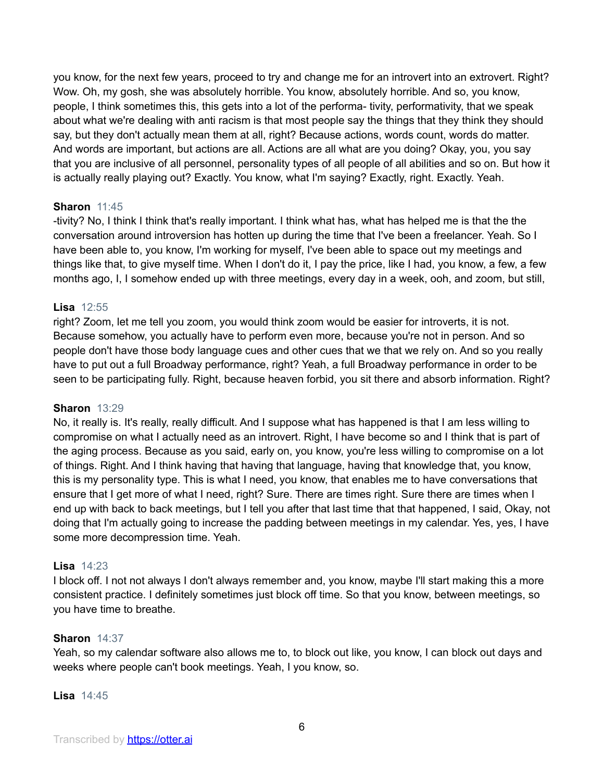you know, for the next few years, proceed to try and change me for an introvert into an extrovert. Right? Wow. Oh, my gosh, she was absolutely horrible. You know, absolutely horrible. And so, you know, people, I think sometimes this, this gets into a lot of the performa- tivity, performativity, that we speak about what we're dealing with anti racism is that most people say the things that they think they should say, but they don't actually mean them at all, right? Because actions, words count, words do matter. And words are important, but actions are all. Actions are all what are you doing? Okay, you, you say that you are inclusive of all personnel, personality types of all people of all abilities and so on. But how it is actually really playing out? Exactly. You know, what I'm saying? Exactly, right. Exactly. Yeah.

## **Sharon** 11:45

-tivity? No, I think I think that's really important. I think what has, what has helped me is that the the conversation around introversion has hotten up during the time that I've been a freelancer. Yeah. So I have been able to, you know, I'm working for myself, I've been able to space out my meetings and things like that, to give myself time. When I don't do it, I pay the price, like I had, you know, a few, a few months ago, I, I somehow ended up with three meetings, every day in a week, ooh, and zoom, but still,

#### **Lisa** 12:55

right? Zoom, let me tell you zoom, you would think zoom would be easier for introverts, it is not. Because somehow, you actually have to perform even more, because you're not in person. And so people don't have those body language cues and other cues that we that we rely on. And so you really have to put out a full Broadway performance, right? Yeah, a full Broadway performance in order to be seen to be participating fully. Right, because heaven forbid, you sit there and absorb information. Right?

#### **Sharon** 13:29

No, it really is. It's really, really difficult. And I suppose what has happened is that I am less willing to compromise on what I actually need as an introvert. Right, I have become so and I think that is part of the aging process. Because as you said, early on, you know, you're less willing to compromise on a lot of things. Right. And I think having that having that language, having that knowledge that, you know, this is my personality type. This is what I need, you know, that enables me to have conversations that ensure that I get more of what I need, right? Sure. There are times right. Sure there are times when I end up with back to back meetings, but I tell you after that last time that that happened, I said, Okay, not doing that I'm actually going to increase the padding between meetings in my calendar. Yes, yes, I have some more decompression time. Yeah.

## **Lisa** 14:23

I block off. I not not always I don't always remember and, you know, maybe I'll start making this a more consistent practice. I definitely sometimes just block off time. So that you know, between meetings, so you have time to breathe.

#### **Sharon** 14:37

Yeah, so my calendar software also allows me to, to block out like, you know, I can block out days and weeks where people can't book meetings. Yeah, I you know, so.

#### **Lisa** 14:45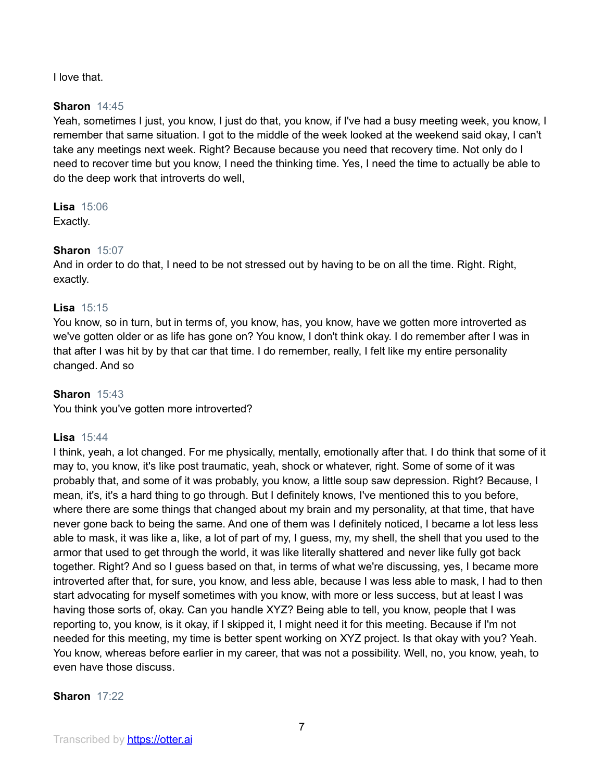I love that.

# **Sharon** 14:45

Yeah, sometimes I just, you know, I just do that, you know, if I've had a busy meeting week, you know, I remember that same situation. I got to the middle of the week looked at the weekend said okay, I can't take any meetings next week. Right? Because because you need that recovery time. Not only do I need to recover time but you know, I need the thinking time. Yes, I need the time to actually be able to do the deep work that introverts do well,

**Lisa** 15:06 Exactly.

# **Sharon** 15:07

And in order to do that, I need to be not stressed out by having to be on all the time. Right. Right, exactly.

# **Lisa** 15:15

You know, so in turn, but in terms of, you know, has, you know, have we gotten more introverted as we've gotten older or as life has gone on? You know, I don't think okay. I do remember after I was in that after I was hit by by that car that time. I do remember, really, I felt like my entire personality changed. And so

# **Sharon** 15:43

You think you've gotten more introverted?

## **Lisa** 15:44

I think, yeah, a lot changed. For me physically, mentally, emotionally after that. I do think that some of it may to, you know, it's like post traumatic, yeah, shock or whatever, right. Some of some of it was probably that, and some of it was probably, you know, a little soup saw depression. Right? Because, I mean, it's, it's a hard thing to go through. But I definitely knows, I've mentioned this to you before, where there are some things that changed about my brain and my personality, at that time, that have never gone back to being the same. And one of them was I definitely noticed, I became a lot less less able to mask, it was like a, like, a lot of part of my, I guess, my, my shell, the shell that you used to the armor that used to get through the world, it was like literally shattered and never like fully got back together. Right? And so I guess based on that, in terms of what we're discussing, yes, I became more introverted after that, for sure, you know, and less able, because I was less able to mask, I had to then start advocating for myself sometimes with you know, with more or less success, but at least I was having those sorts of, okay. Can you handle XYZ? Being able to tell, you know, people that I was reporting to, you know, is it okay, if I skipped it, I might need it for this meeting. Because if I'm not needed for this meeting, my time is better spent working on XYZ project. Is that okay with you? Yeah. You know, whereas before earlier in my career, that was not a possibility. Well, no, you know, yeah, to even have those discuss.

## **Sharon** 17:22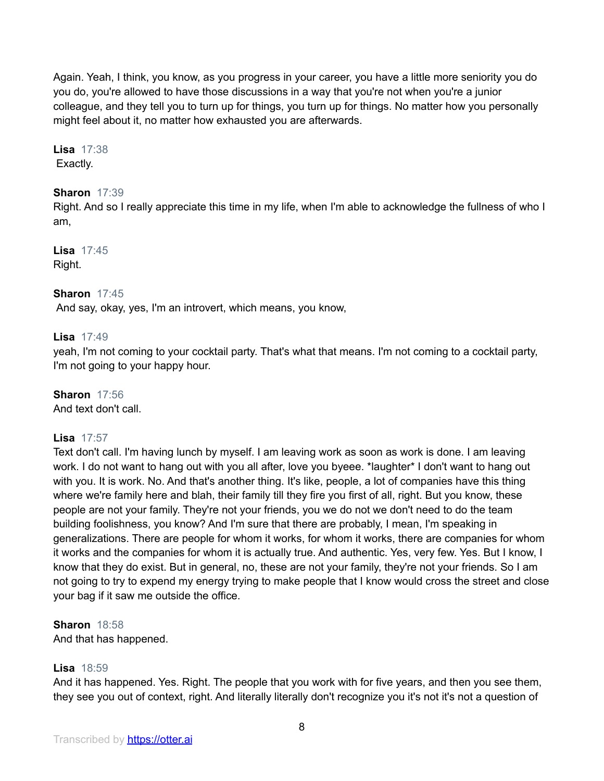Again. Yeah, I think, you know, as you progress in your career, you have a little more seniority you do you do, you're allowed to have those discussions in a way that you're not when you're a junior colleague, and they tell you to turn up for things, you turn up for things. No matter how you personally might feel about it, no matter how exhausted you are afterwards.

**Lisa** 17:38 Exactly.

# **Sharon** 17:39

Right. And so I really appreciate this time in my life, when I'm able to acknowledge the fullness of who I am,

**Lisa** 17:45 Right.

## **Sharon** 17:45

And say, okay, yes, I'm an introvert, which means, you know,

## **Lisa** 17:49

yeah, I'm not coming to your cocktail party. That's what that means. I'm not coming to a cocktail party, I'm not going to your happy hour.

# **Sharon** 17:56

And text don't call.

## **Lisa** 17:57

Text don't call. I'm having lunch by myself. I am leaving work as soon as work is done. I am leaving work. I do not want to hang out with you all after, love you byeee. \*laughter\* I don't want to hang out with you. It is work. No. And that's another thing. It's like, people, a lot of companies have this thing where we're family here and blah, their family till they fire you first of all, right. But you know, these people are not your family. They're not your friends, you we do not we don't need to do the team building foolishness, you know? And I'm sure that there are probably, I mean, I'm speaking in generalizations. There are people for whom it works, for whom it works, there are companies for whom it works and the companies for whom it is actually true. And authentic. Yes, very few. Yes. But I know, I know that they do exist. But in general, no, these are not your family, they're not your friends. So I am not going to try to expend my energy trying to make people that I know would cross the street and close your bag if it saw me outside the office.

**Sharon** 18:58

And that has happened.

# **Lisa** 18:59

And it has happened. Yes. Right. The people that you work with for five years, and then you see them, they see you out of context, right. And literally literally don't recognize you it's not it's not a question of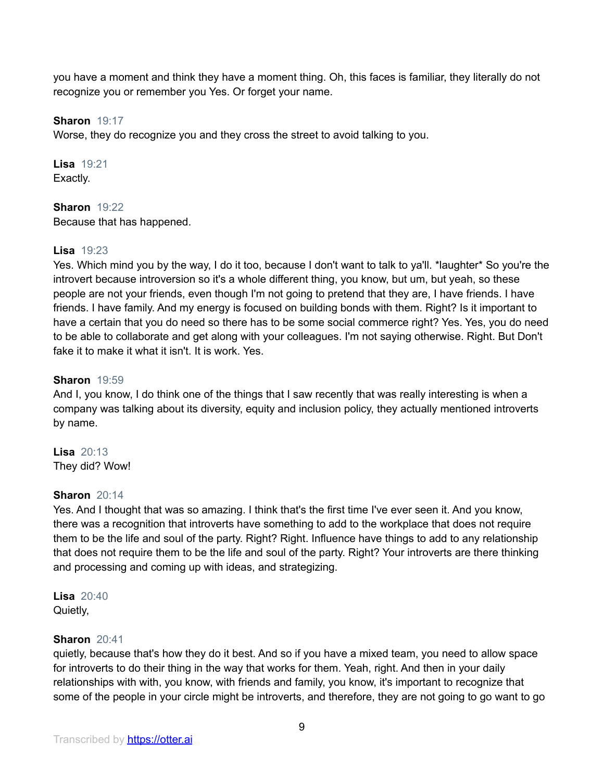you have a moment and think they have a moment thing. Oh, this faces is familiar, they literally do not recognize you or remember you Yes. Or forget your name.

# **Sharon** 19:17

Worse, they do recognize you and they cross the street to avoid talking to you.

**Lisa** 19:21 Exactly.

**Sharon** 19:22 Because that has happened.

# **Lisa** 19:23

Yes. Which mind you by the way, I do it too, because I don't want to talk to ya'll. \*laughter\* So you're the introvert because introversion so it's a whole different thing, you know, but um, but yeah, so these people are not your friends, even though I'm not going to pretend that they are, I have friends. I have friends. I have family. And my energy is focused on building bonds with them. Right? Is it important to have a certain that you do need so there has to be some social commerce right? Yes. Yes, you do need to be able to collaborate and get along with your colleagues. I'm not saying otherwise. Right. But Don't fake it to make it what it isn't. It is work. Yes.

# **Sharon** 19:59

And I, you know, I do think one of the things that I saw recently that was really interesting is when a company was talking about its diversity, equity and inclusion policy, they actually mentioned introverts by name.

**Lisa** 20:13 They did? Wow!

## **Sharon** 20:14

Yes. And I thought that was so amazing. I think that's the first time I've ever seen it. And you know, there was a recognition that introverts have something to add to the workplace that does not require them to be the life and soul of the party. Right? Right. Influence have things to add to any relationship that does not require them to be the life and soul of the party. Right? Your introverts are there thinking and processing and coming up with ideas, and strategizing.

**Lisa** 20:40 Quietly,

## **Sharon** 20:41

quietly, because that's how they do it best. And so if you have a mixed team, you need to allow space for introverts to do their thing in the way that works for them. Yeah, right. And then in your daily relationships with with, you know, with friends and family, you know, it's important to recognize that some of the people in your circle might be introverts, and therefore, they are not going to go want to go